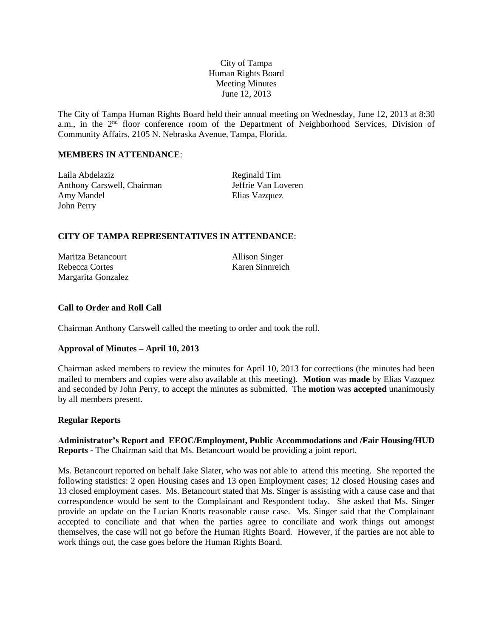# City of Tampa Human Rights Board Meeting Minutes June 12, 2013

The City of Tampa Human Rights Board held their annual meeting on Wednesday, June 12, 2013 at 8:30 a.m., in the 2<sup>nd</sup> floor conference room of the Department of Neighborhood Services, Division of Community Affairs, 2105 N. Nebraska Avenue, Tampa, Florida.

# **MEMBERS IN ATTENDANCE**:

Laila Abdelaziz Reginald Tim Anthony Carswell, Chairman Jeffrie Van Loveren Amy Mandel Elias Vazquez John Perry

## **CITY OF TAMPA REPRESENTATIVES IN ATTENDANCE**:

Maritza Betancourt Allison Singer Rebecca Cortes Karen Sinnreich Margarita Gonzalez

# **Call to Order and Roll Call**

Chairman Anthony Carswell called the meeting to order and took the roll.

## **Approval of Minutes – April 10, 2013**

Chairman asked members to review the minutes for April 10, 2013 for corrections (the minutes had been mailed to members and copies were also available at this meeting). **Motion** was **made** by Elias Vazquez and seconded by John Perry, to accept the minutes as submitted. The **motion** was **accepted** unanimously by all members present.

#### **Regular Reports**

**Administrator's Report and EEOC/Employment, Public Accommodations and /Fair Housing/HUD Reports -** The Chairman said that Ms. Betancourt would be providing a joint report.

Ms. Betancourt reported on behalf Jake Slater, who was not able to attend this meeting. She reported the following statistics: 2 open Housing cases and 13 open Employment cases; 12 closed Housing cases and 13 closed employment cases. Ms. Betancourt stated that Ms. Singer is assisting with a cause case and that correspondence would be sent to the Complainant and Respondent today. She asked that Ms. Singer provide an update on the Lucian Knotts reasonable cause case. Ms. Singer said that the Complainant accepted to conciliate and that when the parties agree to conciliate and work things out amongst themselves, the case will not go before the Human Rights Board. However, if the parties are not able to work things out, the case goes before the Human Rights Board.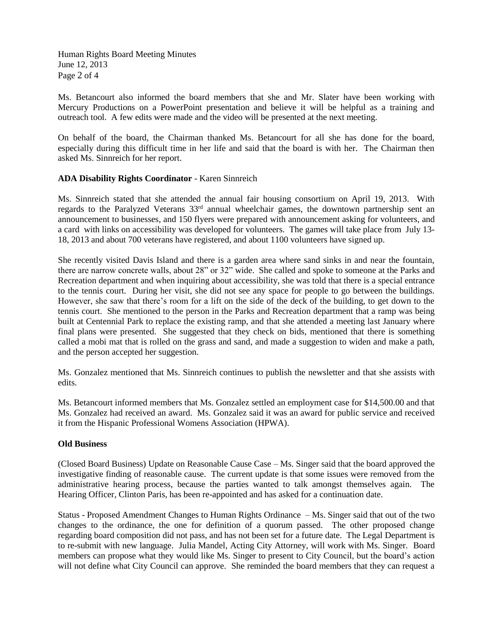Human Rights Board Meeting Minutes June 12, 2013 Page 2 of 4

Ms. Betancourt also informed the board members that she and Mr. Slater have been working with Mercury Productions on a PowerPoint presentation and believe it will be helpful as a training and outreach tool. A few edits were made and the video will be presented at the next meeting.

On behalf of the board, the Chairman thanked Ms. Betancourt for all she has done for the board, especially during this difficult time in her life and said that the board is with her. The Chairman then asked Ms. Sinnreich for her report.

## **ADA Disability Rights Coordinator** - Karen Sinnreich

Ms. Sinnreich stated that she attended the annual fair housing consortium on April 19, 2013. With regards to the Paralyzed Veterans 33<sup>rd</sup> annual wheelchair games, the downtown partnership sent an announcement to businesses, and 150 flyers were prepared with announcement asking for volunteers, and a card with links on accessibility was developed for volunteers. The games will take place from July 13- 18, 2013 and about 700 veterans have registered, and about 1100 volunteers have signed up.

She recently visited Davis Island and there is a garden area where sand sinks in and near the fountain, there are narrow concrete walls, about 28" or 32" wide. She called and spoke to someone at the Parks and Recreation department and when inquiring about accessibility, she was told that there is a special entrance to the tennis court. During her visit, she did not see any space for people to go between the buildings. However, she saw that there's room for a lift on the side of the deck of the building, to get down to the tennis court. She mentioned to the person in the Parks and Recreation department that a ramp was being built at Centennial Park to replace the existing ramp, and that she attended a meeting last January where final plans were presented. She suggested that they check on bids, mentioned that there is something called a mobi mat that is rolled on the grass and sand, and made a suggestion to widen and make a path, and the person accepted her suggestion.

Ms. Gonzalez mentioned that Ms. Sinnreich continues to publish the newsletter and that she assists with edits.

Ms. Betancourt informed members that Ms. Gonzalez settled an employment case for \$14,500.00 and that Ms. Gonzalez had received an award. Ms. Gonzalez said it was an award for public service and received it from the Hispanic Professional Womens Association (HPWA).

#### **Old Business**

(Closed Board Business) Update on Reasonable Cause Case – Ms. Singer said that the board approved the investigative finding of reasonable cause. The current update is that some issues were removed from the administrative hearing process, because the parties wanted to talk amongst themselves again. The Hearing Officer, Clinton Paris, has been re-appointed and has asked for a continuation date.

Status - Proposed Amendment Changes to Human Rights Ordinance – Ms. Singer said that out of the two changes to the ordinance, the one for definition of a quorum passed. The other proposed change regarding board composition did not pass, and has not been set for a future date. The Legal Department is to re-submit with new language. Julia Mandel, Acting City Attorney, will work with Ms. Singer. Board members can propose what they would like Ms. Singer to present to City Council, but the board's action will not define what City Council can approve. She reminded the board members that they can request a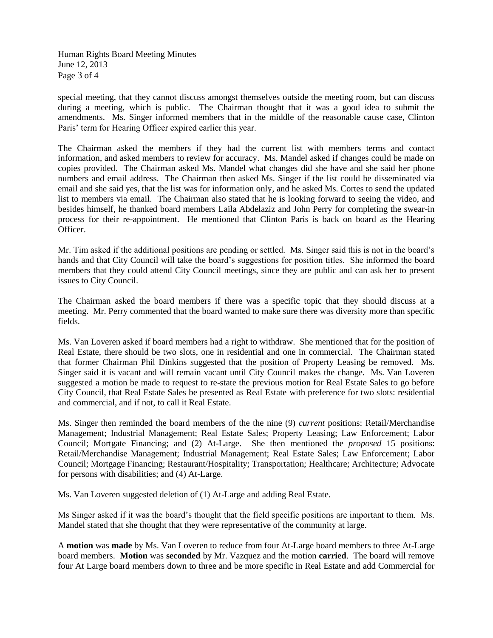Human Rights Board Meeting Minutes June 12, 2013 Page 3 of 4

special meeting, that they cannot discuss amongst themselves outside the meeting room, but can discuss during a meeting, which is public. The Chairman thought that it was a good idea to submit the amendments. Ms. Singer informed members that in the middle of the reasonable cause case, Clinton Paris' term for Hearing Officer expired earlier this year.

The Chairman asked the members if they had the current list with members terms and contact information, and asked members to review for accuracy. Ms. Mandel asked if changes could be made on copies provided. The Chairman asked Ms. Mandel what changes did she have and she said her phone numbers and email address. The Chairman then asked Ms. Singer if the list could be disseminated via email and she said yes, that the list was for information only, and he asked Ms. Cortes to send the updated list to members via email. The Chairman also stated that he is looking forward to seeing the video, and besides himself, he thanked board members Laila Abdelaziz and John Perry for completing the swear-in process for their re-appointment. He mentioned that Clinton Paris is back on board as the Hearing Officer.

Mr. Tim asked if the additional positions are pending or settled. Ms. Singer said this is not in the board's hands and that City Council will take the board's suggestions for position titles. She informed the board members that they could attend City Council meetings, since they are public and can ask her to present issues to City Council.

The Chairman asked the board members if there was a specific topic that they should discuss at a meeting. Mr. Perry commented that the board wanted to make sure there was diversity more than specific fields.

Ms. Van Loveren asked if board members had a right to withdraw. She mentioned that for the position of Real Estate, there should be two slots, one in residential and one in commercial. The Chairman stated that former Chairman Phil Dinkins suggested that the position of Property Leasing be removed. Ms. Singer said it is vacant and will remain vacant until City Council makes the change. Ms. Van Loveren suggested a motion be made to request to re-state the previous motion for Real Estate Sales to go before City Council, that Real Estate Sales be presented as Real Estate with preference for two slots: residential and commercial, and if not, to call it Real Estate.

Ms. Singer then reminded the board members of the the nine (9) *current* positions: Retail/Merchandise Management; Industrial Management; Real Estate Sales; Property Leasing; Law Enforcement; Labor Council; Mortgate Financing; and (2) At-Large. She then mentioned the *proposed* 15 positions: Retail/Merchandise Management; Industrial Management; Real Estate Sales; Law Enforcement; Labor Council; Mortgage Financing; Restaurant/Hospitality; Transportation; Healthcare; Architecture; Advocate for persons with disabilities; and (4) At-Large.

Ms. Van Loveren suggested deletion of (1) At-Large and adding Real Estate.

Ms Singer asked if it was the board's thought that the field specific positions are important to them. Ms. Mandel stated that she thought that they were representative of the community at large.

A **motion** was **made** by Ms. Van Loveren to reduce from four At-Large board members to three At-Large board members. **Motion** was **seconded** by Mr. Vazquez and the motion **carried**. The board will remove four At Large board members down to three and be more specific in Real Estate and add Commercial for